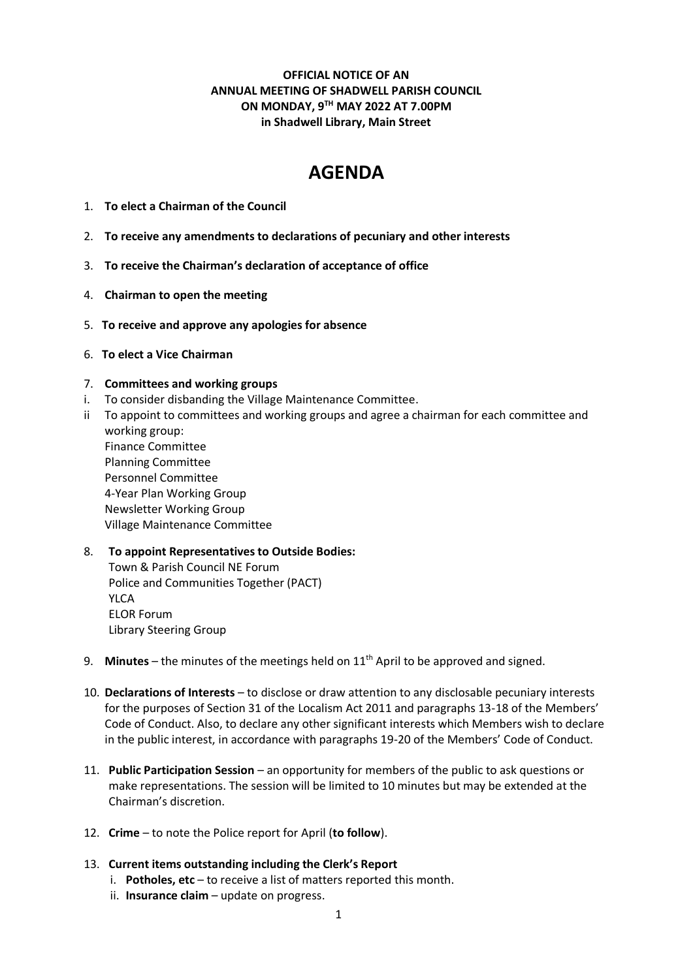**OFFICIAL NOTICE OF AN ANNUAL MEETING OF SHADWELL PARISH COUNCIL ON MONDAY, 9TH MAY 2022 AT 7.00PM in Shadwell Library, Main Street**

# **AGENDA**

- 1. **To elect a Chairman of the Council**
- 2. **To receive any amendments to declarations of pecuniary and other interests**
- 3. **To receive the Chairman's declaration of acceptance of office**
- 4. **Chairman to open the meeting**
- 5. **To receive and approve any apologies for absence**
- 6. **To elect a Vice Chairman**

# 7. **Committees and working groups**

- i. To consider disbanding the Village Maintenance Committee.
- ii To appoint to committees and working groups and agree a chairman for each committee and working group: Finance Committee Planning Committee Personnel Committee 4-Year Plan Working Group Newsletter Working Group Village Maintenance Committee

# 8. **To appoint Representatives to Outside Bodies:** Town & Parish Council NE Forum Police and Communities Together (PACT)

YLCA ELOR Forum Library Steering Group

- 9. **Minutes** the minutes of the meetings held on 11<sup>th</sup> April to be approved and signed.
- 10. **Declarations of Interests** to disclose or draw attention to any disclosable pecuniary interests for the purposes of Section 31 of the Localism Act 2011 and paragraphs 13-18 of the Members' Code of Conduct. Also, to declare any other significant interests which Members wish to declare in the public interest, in accordance with paragraphs 19-20 of the Members' Code of Conduct.
- 11. **Public Participation Session** an opportunity for members of the public to ask questions or make representations. The session will be limited to 10 minutes but may be extended at the Chairman's discretion.
- 12. **Crime**  to note the Police report for April (**to follow**).

# 13. **Current items outstanding including the Clerk's Report**

- i. **Potholes, etc** to receive a list of matters reported this month.
- ii. **Insurance claim** update on progress.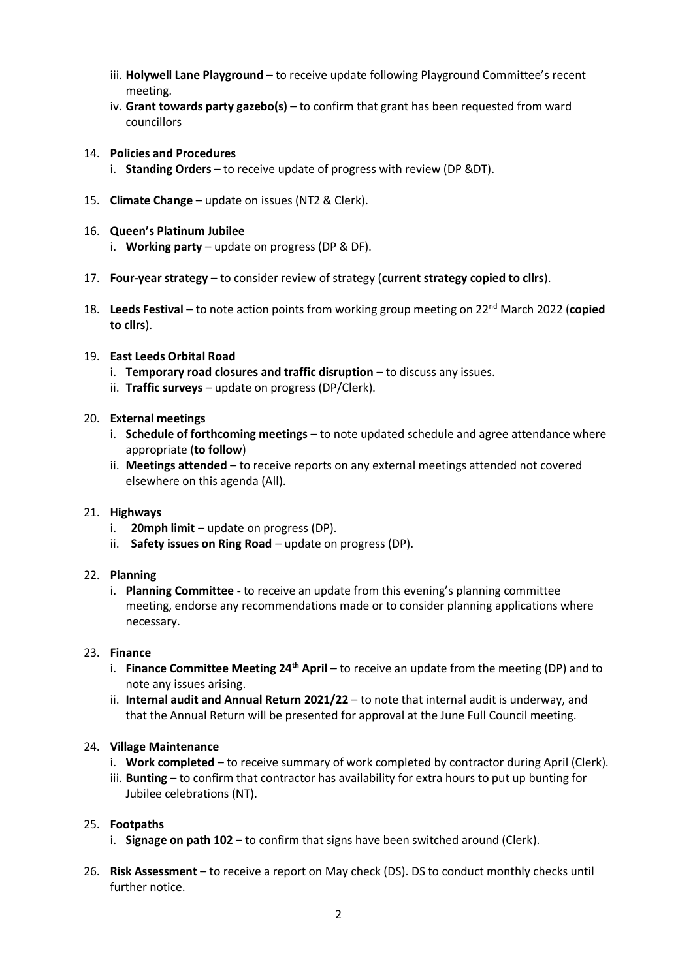- iii. **Holywell Lane Playground** to receive update following Playground Committee's recent meeting.
- iv. **Grant towards party gazebo(s)** to confirm that grant has been requested from ward councillors
- 14. **Policies and Procedures**
	- i. **Standing Orders** to receive update of progress with review (DP &DT).
- 15. **Climate Change** update on issues (NT2 & Clerk).
- 16. **Queen's Platinum Jubilee**
	- i. **Working party** update on progress (DP & DF).
- 17. **Four-year strategy** to consider review of strategy (**current strategy copied to cllrs**).
- 18. Leeds Festival to note action points from working group meeting on 22<sup>nd</sup> March 2022 (copied **to cllrs**).

## 19. **East Leeds Orbital Road**

- i. **Temporary road closures and traffic disruption** to discuss any issues.
- ii. **Traffic surveys** update on progress (DP/Clerk).

## 20. **External meetings**

- i. **Schedule of forthcoming meetings** to note updated schedule and agree attendance where appropriate (**to follow**)
- ii. **Meetings attended** to receive reports on any external meetings attended not covered elsewhere on this agenda (All).

## 21. **Highways**

- i. **20mph limit** update on progress (DP).
- ii. **Safety issues on Ring Road** update on progress (DP).

## 22. **Planning**

i. **Planning Committee -** to receive an update from this evening's planning committee meeting, endorse any recommendations made or to consider planning applications where necessary.

## 23. **Finance**

- i. **Finance Committee Meeting 24th April** to receive an update from the meeting (DP) and to note any issues arising.
- ii. **Internal audit and Annual Return 2021/22**  to note that internal audit is underway, and that the Annual Return will be presented for approval at the June Full Council meeting.

## 24. **Village Maintenance**

- i. **Work completed** to receive summary of work completed by contractor during April (Clerk).
- iii. **Bunting** to confirm that contractor has availability for extra hours to put up bunting for Jubilee celebrations (NT).

# 25. **Footpaths**

- i. **Signage on path 102** to confirm that signs have been switched around (Clerk).
- 26. **Risk Assessment**  to receive a report on May check (DS). DS to conduct monthly checks until further notice.